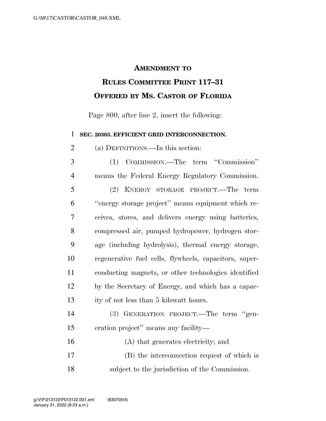## **AMENDMENT TO**

## **RULES COMMITTEE PRINT 117–31 OFFERED BY MS. CASTOR OF FLORIDA**

Page 800, after line 2, insert the following:

**SEC. 20303. EFFICIENT GRID INTERCONNECTION.** 

(a) DEFINITIONS.—In this section:

 (1) COMMISSION.—The term ''Commission'' means the Federal Energy Regulatory Commission. (2) ENERGY STORAGE PROJECT.—The term ''energy storage project'' means equipment which re- ceives, stores, and delivers energy using batteries, compressed air, pumped hydropower, hydrogen stor- age (including hydrolysis), thermal energy storage, regenerative fuel cells, flywheels, capacitors, super- conducting magnets, or other technologies identified by the Secretary of Energy, and which has a capac-ity of not less than 5 kilowatt hours.

 (3) GENERATION PROJECT.—The term ''gen-eration project'' means any facility—

 (A) that generates electricity; and (B) the interconnection request of which is subject to the jurisdiction of the Commission.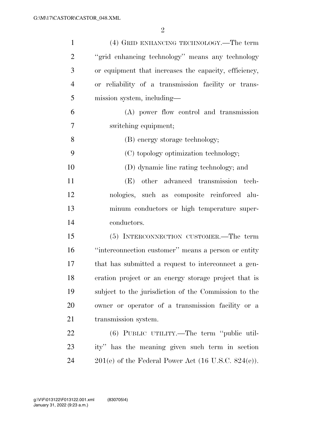| $\mathbf{1}$   | (4) GRID ENHANCING TECHNOLOGY.—The term               |
|----------------|-------------------------------------------------------|
| $\overline{2}$ | "grid enhancing technology" means any technology      |
| 3              | or equipment that increases the capacity, efficiency, |
| $\overline{4}$ | or reliability of a transmission facility or trans-   |
| 5              | mission system, including—                            |
| 6              | (A) power flow control and transmission               |
| 7              | switching equipment;                                  |
| 8              | (B) energy storage technology;                        |
| 9              | (C) topology optimization technology;                 |
| 10             | (D) dynamic line rating technology; and               |
| 11             | other advanced transmission tech-<br>(E)              |
| 12             | nologies, such as composite reinforced alu-           |
| 13             | minum conductors or high temperature super-           |
| 14             | conductors.                                           |
| 15             | (5) INTERCONNECTION CUSTOMER.—The term                |
| 16             | "interconnection customer" means a person or entity   |
| 17             | that has submitted a request to interconnect a gen-   |
| 18             | eration project or an energy storage project that is  |
| 19             | subject to the jurisdiction of the Commission to the  |
| 20             | owner or operator of a transmission facility or a     |
| 21             | transmission system.                                  |
| 22             | (6) PUBLIC UTILITY.—The term "public util-            |
| 23             | ity" has the meaning given such term in section       |
| 24             | $201(e)$ of the Federal Power Act (16 U.S.C. 824(e)). |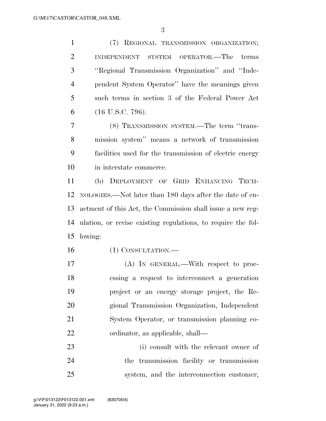(7) REGIONAL TRANSMISSION ORGANIZATION; INDEPENDENT SYSTEM OPERATOR.—The terms ''Regional Transmission Organization'' and ''Inde- pendent System Operator'' have the meanings given such terms in section 3 of the Federal Power Act (16 U.S.C. 796).

 (8) TRANSMISSION SYSTEM.—The term ''trans- mission system'' means a network of transmission facilities used for the transmission of electric energy in interstate commerce.

 (b) DEPLOYMENT OF GRID ENHANCING TECH- NOLOGIES.—Not later than 180 days after the date of en- actment of this Act, the Commission shall issue a new reg- ulation, or revise existing regulations, to require the fol-lowing:

- (1) CONSULTATION.—
- (A) IN GENERAL.—With respect to proc- essing a request to interconnect a generation project or an energy storage project, the Re- gional Transmission Organization, Independent System Operator, or transmission planning co-ordinator, as applicable, shall—

 (i) consult with the relevant owner of the transmission facility or transmission system, and the interconnection customer,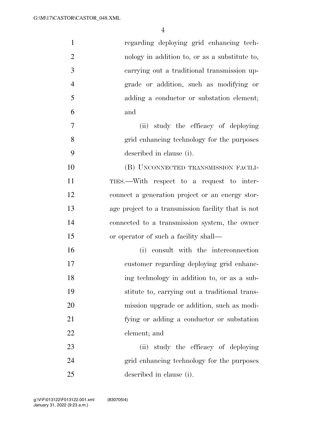| $\mathbf{1}$   | regarding deploying grid enhancing tech-           |
|----------------|----------------------------------------------------|
| $\overline{2}$ | nology in addition to, or as a substitute to,      |
| 3              | carrying out a traditional transmission up-        |
| $\overline{4}$ | grade or addition, such as modifying or            |
| 5              | adding a conductor or substation element;          |
| 6              | and                                                |
| 7              | (ii) study the efficacy of deploying               |
| 8              | grid enhancing technology for the purposes         |
| 9              | described in clause (i).                           |
| 10             | (B) UNCONNECTED TRANSMISSION FACILI-               |
| 11             | TIES.—With respect to a request to inter-          |
| 12             | connect a generation project or an energy stor-    |
| 13             | age project to a transmission facility that is not |
| 14             | connected to a transmission system, the owner      |
| 15             | or operator of such a facility shall—              |
| 16             | (i) consult with the interconnection               |
| 17             | customer regarding deploying grid enhanc-          |
| 18             | ing technology in addition to, or as a sub-        |
| 19             | stitute to, carrying out a traditional trans-      |
| 20             | mission upgrade or addition, such as modi-         |
| 21             | fying or adding a conductor or substation          |
| 22             | element; and                                       |
| 23             | study the efficacy of deploying<br>(ii)            |
| 24             | grid enhancing technology for the purposes         |
| 25             | described in clause (i).                           |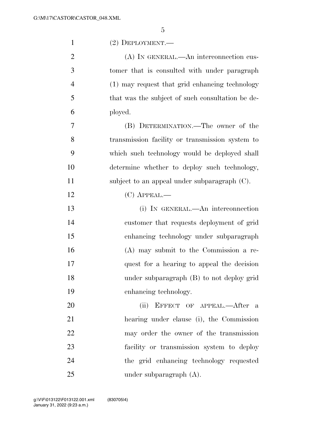| $\mathbf{1}$   | $(2)$ DEPLOYMENT.—                               |
|----------------|--------------------------------------------------|
| $\overline{2}$ | (A) IN GENERAL.—An interconnection cus-          |
| 3              | tomer that is consulted with under paragraph     |
| $\overline{4}$ | (1) may request that grid enhancing technology   |
| 5              | that was the subject of such consultation be de- |
| 6              | ployed.                                          |
| 7              | (B) DETERMINATION.—The owner of the              |
| 8              | transmission facility or transmission system to  |
| 9              | which such technology would be deployed shall    |
| 10             | determine whether to deploy such technology,     |
| 11             | subject to an appeal under subparagraph (C).     |
| 12             | $(C)$ APPEAL.—                                   |
| 13             | (i) IN GENERAL.—An interconnection               |
| 14             | customer that requests deployment of grid        |
| 15             | enhancing technology under subparagraph          |
| 16             | (A) may submit to the Commission a re-           |
| 17             | quest for a hearing to appeal the decision       |
| 18             | under subparagraph (B) to not deploy grid        |
| 19             | enhancing technology.                            |
| 20             | EFFECT OF APPEAL.—After a<br>(ii)                |
| 21             | hearing under clause (i), the Commission         |
| 22             | may order the owner of the transmission          |
| 23             | facility or transmission system to deploy        |
| 24             | the grid enhancing technology requested          |
| 25             | under subparagraph $(A)$ .                       |